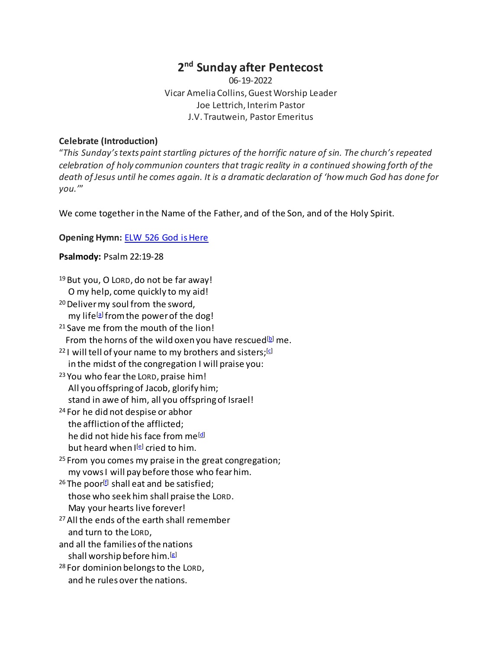# **2nd Sunday after Pentecost**

06-19-2022 Vicar Amelia Collins, Guest Worship Leader Joe Lettrich, Interim Pastor J.V. Trautwein, Pastor Emeritus

# **Celebrate (Introduction)**

"*This Sunday's texts paint startling pictures of the horrific nature of sin. The church's repeated celebration of holy communion counters that tragic reality in a continued showing forth of the death of Jesus until he comes again. It is a dramatic declaration of 'how much God has done for you.'*"

We come together in the Name of the Father, and of the Son, and of the Holy Spirit.

# **Opening Hymn:** [ELW 526 God is Here](https://www.youtube.com/watch?v=JOTsvqw77no)

# **Psalmody:** Psalm 22:19-28

<sup>19</sup> But you, O LORD, do not be far away! O my help, come quickly to my aid! <sup>20</sup> Deliver my soul from the sword, my life<sup>[a]</sup> from the power of the dog! <sup>21</sup> Save me from the mouth of the lion! From the horns of the wild oxen you have rescued<sup>[b]</sup> me. <sup>22</sup> I will tell of your name to my brothers and sisters; $[G]$  in the midst of the congregation I will praise you: <sup>23</sup> You who fear the LORD, praise him! All you offspring of Jacob, glorify him; stand in awe of him, all you offspring of Israel! <sup>24</sup> For he did not despise or abhor the affliction of the afflicted; he did not hide his face from me<sup>[d]</sup> but heard when  $I^{[e]}$  $I^{[e]}$  $I^{[e]}$  cried to him. <sup>25</sup> From you comes my praise in the great congregation; my vows I will pay before those who fear him. <sup>26</sup> The poor<sup>[\[f\]](https://www.biblegateway.com/passage/?search=Psalm%2022%3A19-28&version=NRSVUE#fen-NRSVUE-14231f)</sup> shall eat and be satisfied; those who seek him shall praise the LORD. May your hearts live forever! 27 All the ends of the earth shall remember and turn to the LORD, and all the families of the nations shall worship before him.[\[g\]](https://www.biblegateway.com/passage/?search=Psalm%2022%3A19-28&version=NRSVUE#fen-NRSVUE-14232g) <sup>28</sup> For dominion belongs to the LORD, and he rules over the nations.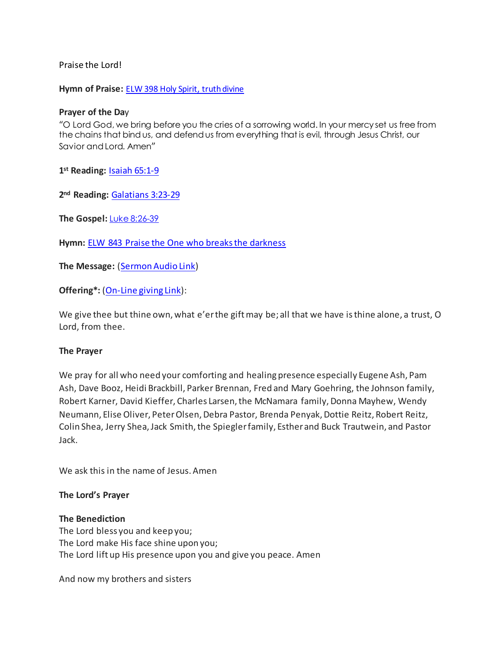Praise the Lord!

**Hymn of Praise:** [ELW 398 Holy Spirit, truth divine](https://www.youtube.com/watch?v=d-l3crMBYP8)

## **Prayer of the Da**y

"O Lord God, we bring before you the cries of a sorrowing world. In your mercy set us free from the chains that bind us, and defend us from everything that is evil, through Jesus Christ, our Savior and Lord. Amen"

**1st Reading:** [Isaiah 65:1-9](https://www.biblegateway.com/passage/?search=Isaiah+65%3A1-9&version=NRSVUE)

**2nd Reading:** [Galatians 3:23-29](https://www.biblegateway.com/passage/?search=Galatians+3%3A23-29&version=NRSVUE)

**The Gospel:** [Luke 8:26-39](https://www.biblegateway.com/passage/?search=Luke+8%3A26-39&version=NRSVUE)

**Hymn:** [ELW 843 Praise the One who breaks the darkness](https://www.youtube.com/watch?v=3P8W6gRl68o)

**The Message:** [\(Sermon Audio](https://www.epiphanylutherancolumbia.org/sermons/sermon_20220619.mp3) Link)

**Offering\*:** [\(On-Line giving Link\)](https://tithe.ly/give_new/www/#/tithely/give-one-time/2627291):

We give thee but thine own, what e'er the gift may be; all that we have is thine alone, a trust, O Lord, from thee.

### **The Prayer**

We pray for all who need your comforting and healing presence especially Eugene Ash, Pam Ash, Dave Booz, Heidi Brackbill, Parker Brennan, Fred and Mary Goehring, the Johnson family, Robert Karner, David Kieffer, Charles Larsen, the McNamara family, Donna Mayhew, Wendy Neumann, Elise Oliver, Peter Olsen, Debra Pastor, Brenda Penyak, Dottie Reitz, Robert Reitz, Colin Shea, Jerry Shea, Jack Smith, the Spiegler family, Esther and Buck Trautwein, and Pastor Jack.

We ask this in the name of Jesus. Amen

## **The Lord's Prayer**

### **The Benediction**

The Lord bless you and keep you; The Lord make His face shine upon you; The Lord lift up His presence upon you and give you peace. Amen

And now my brothers and sisters